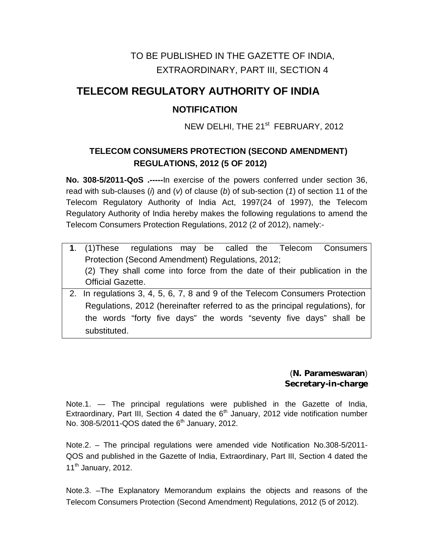## TO BE PUBLISHED IN THE GAZETTE OF INDIA, EXTRAORDINARY, PART III, SECTION 4

# **TELECOM REGULATORY AUTHORITY OF INDIA**

### **NOTIFICATION**

NEW DELHI, THE 21<sup>st</sup> FEBRUARY, 2012

#### **TELECOM CONSUMERS PROTECTION (SECOND AMENDMENT) REGULATIONS, 2012 (5 OF 2012)**

**No. 308-5/2011-QoS .-----**In exercise of the powers conferred under section 36, read with sub-clauses (*i*) and (*v*) of clause (*b*) of sub-section (*1*) of section 11 of the Telecom Regulatory Authority of India Act, 1997(24 of 1997), the Telecom Regulatory Authority of India hereby makes the following regulations to amend the Telecom Consumers Protection Regulations, 2012 (2 of 2012), namely:-

- **1**. (1)These regulations may be called theTelecom Consumers Protection (Second Amendment) Regulations, 2012; (2) They shall come into force from the date of their publication in the Official Gazette.
- 2. In regulations 3, 4, 5, 6, 7, 8 and 9 of the Telecom Consumers Protection Regulations, 2012 (hereinafter referred to as the principal regulations), for the words "forty five days" the words "seventy five days" shall be substituted.

(**N. Parameswaran**) **Secretary-in-charge**

Note.1. — The principal regulations were published in the Gazette of India, Extraordinary, Part III, Section 4 dated the  $6<sup>th</sup>$  January, 2012 vide notification number No. 308-5/2011-QOS dated the  $6<sup>th</sup>$  January, 2012.

Note.2. – The principal regulations were amended vide Notification No.308-5/2011- QOS and published in the Gazette of India, Extraordinary, Part III, Section 4 dated the 11<sup>th</sup> January, 2012.

Note.3. –The Explanatory Memorandum explains the objects and reasons of the Telecom Consumers Protection (Second Amendment) Regulations, 2012 (5 of 2012).